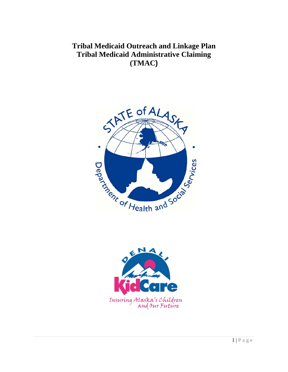**Tribal Medicaid Outreach and Linkage Plan Tribal Medicaid Administrative Claiming (TMAC)** 



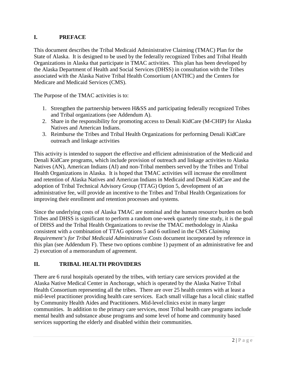## **I. PREFACE**

This document describes the Tribal Medicaid Administrative Claiming (TMAC) Plan for the State of Alaska. It is designed to be used by the federally recognized Tribes and Tribal Health Organizations in Alaska that participate in TMAC activities. This plan has been developed by the Alaska Department of Health and Social Services (DHSS) in consultation with the Tribes associated with the Alaska Native Tribal Health Consortium (ANTHC) and the Centers for Medicare and Medicaid Services (CMS).

The Purpose of the TMAC activities is to:

- 1. Strengthen the partnership between H&SS and participating federally recognized Tribes and Tribal organizations (see Addendum A).
- 2. Share in the responsibility for promoting access to Denali KidCare (M-CHIP) for Alaska Natives and American Indians.
- 3. Reimburse the Tribes and Tribal Health Organizations for performing Denali KidCare outreach and linkage activities

This activity is intended to support the effective and efficient administration of the Medicaid and Denali KidCare programs, which include provision of outreach and linkage activities to Alaska Natives (AN), American Indians (AI) and non-Tribal members served by the Tribes and Tribal Health Organizations in Alaska. It is hoped that TMAC activities will increase the enrollment and retention of Alaska Natives and American Indians in Medicaid and Denali KidCare and the adoption of Tribal Technical Advisory Group (TTAG) Option 5, development of an administrative fee, will provide an incentive to the Tribes and Tribal Health Organizations for improving their enrollment and retention processes and systems.

Since the underlying costs of Alaska TMAC are nominal and the human resource burden on both Tribes and DHSS is significant to perform a random one-week quarterly time study, it is the goal of DHSS and the Tribal Health Organizations to revise the TMAC methodology in Alaska consistent with a combination of TTAG options 5 and 6 outlined in the CMS *Claiming Requirement's for Tribal Medicaid Administrative Costs* document incorporated by reference in this plan (see Addendum F). These two options combine 1) payment of an administrative fee and 2) execution of a memorandum of agreement.

## **II. TRIBAL HEALTH PROVIDERS**

There are 6 rural hospitals operated by the tribes, with tertiary care services provided at the Alaska Native Medical Center in Anchorage, which is operated by the Alaska Native Tribal Health Consortium representing all the tribes. There are over 25 health centers with at least a mid-level practitioner providing health care services. Each small village has a local clinic staffed by Community Health Aides and Practitioners. Mid-level clinics exist in many larger communities. In addition to the primary care services, most Tribal health care programs include mental health and substance abuse programs and some level of home and community based services supporting the elderly and disabled within their communities.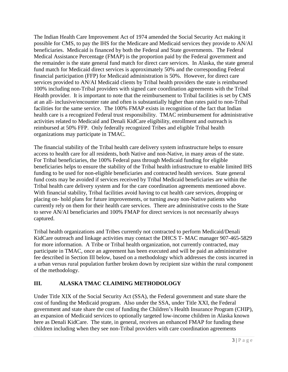The Indian Health Care Improvement Act of 1974 amended the Social Security Act making it possible for CMS, to pay the IHS for the Medicare and Medicaid services they provide to AN/AI beneficiaries. Medicaid is financed by both the Federal and State governments. The Federal Medical Assistance Percentage (FMAP) is the proportion paid by the Federal government and the remainder is the state general fund match for direct care services. In Alaska, the state general fund match for Medicaid direct services is approximately 50% and the corresponding Federal financial participation (FFP) for Medicaid administration is 50%. However, for direct care services provided to AN/AI Medicaid clients by Tribal health providers the state is reimbursed 100% including non-Tribal providers with signed care coordination agreements with the Tribal Health provider. It is important to note that the reimbursement to Tribal facilities is set by CMS at an all- inclusive/encounter rate and often is substantially higher than rates paid to non-Tribal facilities for the same service. The 100% FMAP exists in recognition of the fact that Indian health care is a recognized Federal trust responsibility. TMAC reimbursement for administrative activities related to Medicaid and Denali KidCare eligibility, enrollment and outreach is reimbursed at 50% FFP. Only federally recognized Tribes and eligible Tribal health organizations may participate in TMAC.

The financial stability of the Tribal health care delivery system infrastructure helps to ensure access to health care for all residents, both Native and non-Native, in many areas of the state. For Tribal beneficiaries, the 100% Federal pass through Medicaid funding for eligible beneficiaries helps to ensure the stability of the Tribal health infrastructure to enable limited IHS funding to be used for non-eligible beneficiaries and contracted health services. State general fund costs may be avoided if services received by Tribal Medicaid beneficiaries are within the Tribal health care delivery system and for the care coordination agreements mentioned above. With financial stability, Tribal facilities avoid having to cut health care services, dropping or placing on- hold plans for future improvements, or turning away non-Native patients who currently rely on them for their health care services. There are administrative costs to the State to serve AN/AI beneficiaries and 100% FMAP for direct services is not necessarily always captured.

Tribal health organizations and Tribes currently not contracted to perform Medicaid/Denali KidCare outreach and linkage activities may contact the DHCS T- MAC manager 907-465-5829 for more information. A Tribe or Tribal health organization, not currently contracted, may participate in TMAC, once an agreement has been executed and will be paid an administrative fee described in Section III below, based on a methodology which addresses the costs incurred in a urban versus rural population further broken down by recipient size within the rural component of the methodology.

## **III. ALASKA TMAC CLAIMING METHODOLOGY**

Under Title XIX of the Social Security Act (SSA), the Federal government and state share the cost of funding the Medicaid program. Also under the SSA, under Title XXI, the Federal government and state share the cost of funding the Children's Health Insurance Program (CHIP), an expansion of Medicaid services to optionally targeted low-income children in Alaska known here as Denali KidCare. The state, in general, receives an enhanced FMAP for funding these children including when they see non-Tribal providers with care coordination agreements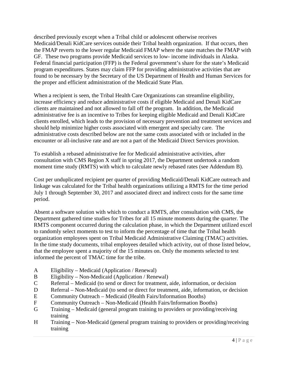described previously except when a Tribal child or adolescent otherwise receives Medicaid/Denali KidCare services outside their Tribal health organization. If that occurs, then the FMAP reverts to the lower regular Medicaid FMAP where the state matches the FMAP with GF. These two programs provide Medicaid services to low- income individuals in Alaska. Federal financial participation (FFP) is the Federal government's share for the state's Medicaid program expenditures. States may claim FFP for providing administrative activities that are found to be necessary by the Secretary of the US Department of Health and Human Services for the proper and efficient administration of the Medicaid State Plan.

When a recipient is seen, the Tribal Health Care Organizations can streamline eligibility, increase efficiency and reduce administrative costs if eligible Medicaid and Denali KidCare clients are maintained and not allowed to fall off the program. In addition, the Medicaid administrative fee is an incentive to Tribes for keeping eligible Medicaid and Denali KidCare clients enrolled, which leads to the provision of necessary prevention and treatment services and should help minimize higher costs associated with emergent and specialty care. The administrative costs described below are not the same costs associated with or included in the encounter or all-inclusive rate and are not a part of the Medicaid Direct Services provision.

To establish a rebased administrative fee for Medicaid administrative activities, after consultation with CMS Region X staff in spring 2017, the Department undertook a random moment time study (RMTS) with which to calculate newly rebased rates (see Addendum B).

Cost per unduplicated recipient per quarter of providing Medicaid/Denali KidCare outreach and linkage was calculated for the Tribal health organizations utilizing a RMTS for the time period July 1 through September 30, 2017 and associated direct and indirect costs for the same time period.

Absent a software solution with which to conduct a RMTS, after consultation with CMS, the Department gathered time studies for Tribes for all 15 minute moments during the quarter. The RMTS component occurred during the calculation phase, in which the Department utilized excel to randomly select moments to test to inform the percentage of time that the Tribal health organization employees spent on Tribal Medicaid Administrative Claiming (TMAC) activities. In the time study documents, tribal employees detailed which activity, out of those listed below, that the employee spent a majority of the 15 minutes on. Only the moments selected to test informed the percent of TMAC time for the tribe.

- A Eligibility Medicaid (Application / Renewal)
- B Eligibility Non-Medicaid (Application / Renewal)
- C Referral Medicaid (to send or direct for treatment, aide, information, or decision
- D Referral Non-Medicaid (to send or direct for treatment, aide, information, or decision
- E Community Outreach Medicaid (Health Fairs/Information Booths)
- F Community Outreach Non-Medicaid (Health Fairs/Information Booths)
- G Training Medicaid (general program training to providers or providing/receiving training
- H Training Non-Medicaid (general program training to providers or providing/receiving training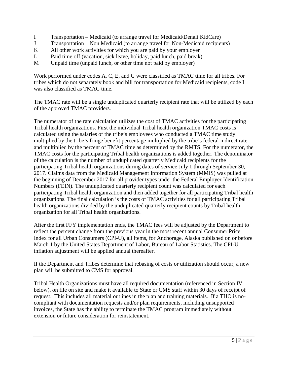- I Transportation Medicaid (to arrange travel for Medicaid/Denali KidCare)
- J Transportation Non Medicaid (to arrange travel for Non-Medicaid recipients)
- K All other work activities for which you are paid by your employer
- L Paid time off (vacation, sick leave, holiday, paid lunch, paid break)
- M Unpaid time (unpaid lunch, or other time not paid by employer)

Work performed under codes A, C, E, and G were classified as TMAC time for all tribes. For tribes which do not separately book and bill for transportation for Medicaid recipients, code I was also classified as TMAC time.

The TMAC rate will be a single unduplicated quarterly recipient rate that will be utilized by each of the approved TMAC providers.

The numerator of the rate calculation utilizes the cost of TMAC activities for the participating Tribal health organizations. First the individual Tribal health organization TMAC costs is calculated using the salaries of the tribe's employees who conducted a TMAC time study multiplied by the tribe's fringe benefit percentage multiplied by the tribe's federal indirect rate and multiplied by the percent of TMAC time as determined by the RMTS. For the numerator, the TMAC costs for the participating Tribal health organizations is added together. The denominator of the calculation is the number of unduplicated quarterly Medicaid recipients for the participating Tribal health organizations during dates of service July 1 through September 30, 2017. Claims data from the Medicaid Management Information System (MMIS) was pulled at the beginning of December 2017 for all provider types under the Federal Employer Identification Numbers (FEIN). The unduplicated quarterly recipient count was calculated for each participating Tribal health organization and then added together for all participating Tribal health organizations. The final calculation is the costs of TMAC activities for all participating Tribal health organizations divided by the unduplicated quarterly recipient counts by Tribal health organization for all Tribal health organizations.

After the first FFY implementation ends, the TMAC fees will be adjusted by the Department to reflect the percent change from the previous year in the most recent annual Consumer Price Index for all Urban Consumers (CPI-U), all items, for Anchorage, Alaska published on or before March 1 by the United States Department of Labor, Bureau of Labor Statistics. The CPI-U inflation adjustment will be applied annual thereafter.

If the Department and Tribes determine that rebasing of costs or utilization should occur, a new plan will be submitted to CMS for approval.

Tribal Health Organizations must have all required documentation (referenced in Section IV below), on file on site and make it available to State or CMS staff within 30 days of receipt of request. This includes all material outlines in the plan and training materials. If a THO is nocompliant with documentation requests and/or plan requirements, including unsupported invoices, the State has the ability to terminate the TMAC program immediately without extension or future consideration for reinstatement.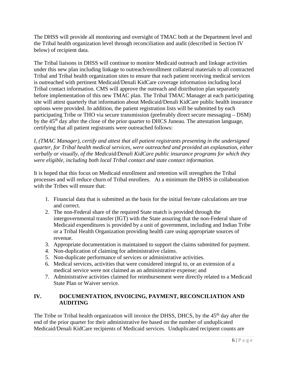The DHSS will provide all monitoring and oversight of TMAC both at the Department level and the Tribal health organization level through reconciliation and audit (described in Section IV below) of recipient data.

The Tribal liaisons in DHSS will continue to monitor Medicaid outreach and linkage activities under this new plan including linkage to outreach/enrollment collateral materials to all contracted Tribal and Tribal health organization sites to ensure that each patient receiving medical services is outreached with pertinent Medicaid/Denali KidCare coverage information including local Tribal contact information. CMS will approve the outreach and distribution plan separately before implementation of this new TMAC plan. The Tribal TMAC Manager at each participating site will attest quarterly that information about Medicaid/Denali KidCare public health insurance options were provided. In addition, the patient registration lists will be submitted by each participating Tribe or THO via secure transmission (preferably direct secure messaging – DSM) by the 45<sup>th</sup> day after the close of the prior quarter to DHCS Juneau. The attestation language, certifying that all patient registrants were outreached follows:

*I, (TMAC Manager), certify and attest that all patient registrants presenting in the undersigned quarter, for Tribal health medical services, were outreached and provided an explanation, either verbally or visually, of the Medicaid/Denali KidCare public insurance programs for which they were eligible, including both local Tribal contact and state contact information.* 

It is hoped that this focus on Medicaid enrollment and retention will strengthen the Tribal processes and will reduce churn of Tribal enrollees. At a minimum the DHSS in collaboration with the Tribes will ensure that:

- 1. Financial data that is submitted as the basis for the initial fee/rate calculations are true and correct.
- 2. The non-Federal share of the required State match is provided through the intergovernmental transfer (IGT) with the State assuring that the non-Federal share of Medicaid expenditures is provided by a unit of government, including and Indian Tribe or a Tribal Health Organization providing health care using appropriate sources of revenue.
- 3. Appropriate documentation is maintained to support the claims submitted for payment.
- 4. Non-duplication of claiming for administrative claims.
- 5. Non-duplicate performance of services or administrative activities.
- 6. Medical services, activities that were considered integral to, or an extension of a medical service were not claimed as an administrative expense; and
- 7. Administrative activities claimed for reimbursement were directly related to a Medicaid State Plan or Waiver service.

## **IV. DOCUMENTATION, INVOICING, PAYMENT, RECONCILIATION AND AUDITING**

The Tribe or Tribal health organization will invoice the DHSS, DHCS, by the 45<sup>th</sup> day after the end of the prior quarter for their administrative fee based on the number of unduplicated Medicaid/Denali KidCare recipients of Medicaid services. Unduplicated recipient counts are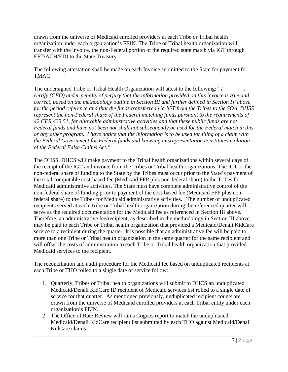drawn from the universe of Medicaid enrolled providers at each Tribe or Tribal health organization under each organization's FEIN. The Tribe or Tribal health organization will transfer with the invoice, the non-Federal portion of the required state match via IGT through EFT/ACH/EDI to the State Treasury

The following attestation shall be made on each Invoice submitted to the State for payment for TMAC:

The undersigned Tribe or Tribal Health Organization will attest to the following: *"I \_\_\_\_\_\_\_, certify (CFO) under penalty of perjury that the information provided on this invoice is true and correct, based on the methodology outline in Section III and further defined in Section IV above for the period reference and that the funds transferred via IGT from the Tribes to the SOA, DHSS represent the non-Federal share of the Federal matching funds pursuant to the requirements of 42 CFR 433.51, for allowable administrative activities and that these public funds are not Federal funds and have not been nor shall not subsequently be used for the Federal match in this or any other program. I have notice that the information is to be used for filing of a claim with the Federal Government for Federal funds and knowing misrepresentation constitutes violation of the Federal False Claims Act."* 

The DHSS, DHCS will make payment to the Tribal health organizations within several days of the receipt of the IGT and invoice from the Tribes or Tribal health organizations. The IGT or the non-federal share of funding to the State by the Tribes must occur prior to the State's payment of the total computable cost-based fee (Medicaid FFP plus non-federal share) to the Tribes for Medicaid administrative activities. The State must have complete administrative control of the non-federal share of funding prior to payment of the cost-based fee (Medicaid FFP plus nonfederal share) to the Tribes for Medicaid administrative activities. The number of unduplicated recipients served at each Tribe or Tribal health organization during the referenced quarter will serve as the required documentation for the Medicaid fee as referenced in Section III above. Therefore, an administrative fee/recipient, as described in the methodology in Section III above, may be paid to each Tribe or Tribal health organization that provided a Medicaid/Denali KidCare service to a recipient during the quarter. It is possible that an administrative fee will be paid to more than one Tribe or Tribal health organization in the same quarter for the same recipient and will offset the costs of administration to each Tribe or Tribal health organization that provided Medicaid services to the recipient.

The reconciliation and audit procedure for the Medicaid fee based on unduplicated recipients at each Tribe or THO rolled to a single date of service follow:

- 1. Quarterly, Tribes or Tribal health organizations will submit to DHCS an unduplicated Medicaid/Denali KidCare ID recipient of Medicaid services list rolled to a single date of service for that quarter. As mentioned previously, unduplicated recipient counts are drawn from the universe of Medicaid enrolled providers at each Tribal entity under each organization's FEIN.
- 2. The Office of Rate Review will run a Cognos report to match the unduplicated Medicaid/Denali KidCare recipient list submitted by each THO against Medicaid/Denali KidCare claims.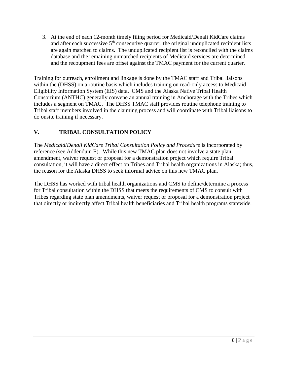3. At the end of each 12-month timely filing period for Medicaid/Denali KidCare claims and after each successive  $5<sup>th</sup>$  consecutive quarter, the original unduplicated recipient lists are again matched to claims. The unduplicated recipient list is reconciled with the claims database and the remaining unmatched recipients of Medicaid services are determined and the recoupment fees are offset against the TMAC payment for the current quarter.

Training for outreach, enrollment and linkage is done by the TMAC staff and Tribal liaisons within the (DHSS) on a routine basis which includes training on read-only access to Medicaid Eligibility Information System (EIS) data**.** CMS and the Alaska Native Tribal Health Consortium (ANTHC) generally convene an annual training in Anchorage with the Tribes which includes a segment on TMAC. The DHSS TMAC staff provides routine telephone training to Tribal staff members involved in the claiming process and will coordinate with Tribal liaisons to do onsite training if necessary.

## **V. TRIBAL CONSULTATION POLICY**

The *Medicaid*/*Denali KidCare Tribal Consultation Policy and Procedure* is incorporated by reference (see Addendum E). While this new TMAC plan does not involve a state plan amendment, waiver request or proposal for a demonstration project which require Tribal consultation, it will have a direct effect on Tribes and Tribal health organizations in Alaska; thus, the reason for the Alaska DHSS to seek informal advice on this new TMAC plan.

The DHSS has worked with tribal health organizations and CMS to define/determine a process for Tribal consultation within the DHSS that meets the requirements of CMS to consult with Tribes regarding state plan amendments, waiver request or proposal for a demonstration project that directly or indirectly affect Tribal health beneficiaries and Tribal health programs statewide.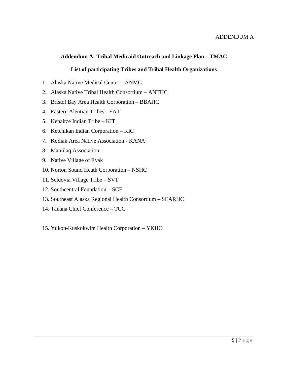## **Addendum A: Tribal Medicaid Outreach and Linkage Plan – TMAC**

## **List of participating Tribes and Tribal Health Organizations**

- 1. Alaska Native Medical Center ANMC
- 2. Alaska Native Tribal Health Consortium ANTHC
- 3. Bristol Bay Area Health Corporation BBAHC
- 4. Eastern Aleutian Tribes EAT
- 5. Kenaitze Indian Tribe KIT
- 6. Ketchikan Indian Corporation KIC
- 7. Kodiak Area Native Association KANA
- 8. Maniilaq Association
- 9. Native Village of Eyak
- 10. Norton Sound Heath Corporation NSHC
- 11. Seldovia Village Tribe SVT
- 12. Southcentral Foundation SCF
- 13. Southeast Alaska Regional Health Consortium SEARHC
- 14. Tanana Chief Conference TCC
- 15. Yukon-Kuskokwim Health Corporation YKHC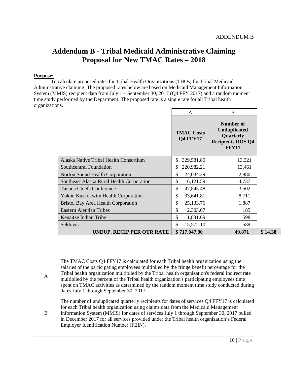٦

# **Addendum B - Tribal Medicaid Administrative Claiming Proposal for New TMAC Rates – 2018**

#### **Purpose:**

To calculate proposed rates for Tribal Health Organizations (THOs) for Tribal Medicaid Administrative claiming. The proposed rates below are based on Medicaid Management Information System (MMIS) recipient data from July 1 – September 30, 2017 (Q4 FFY 2017) and a random moment time study performed by the Department. The proposed rate is a single rate for all Tribal health organizations.  $\Gamma$ 

|                                            | A                                    | B                                                                                         |         |
|--------------------------------------------|--------------------------------------|-------------------------------------------------------------------------------------------|---------|
|                                            | <b>TMAC Costs</b><br><b>Q4 FFY17</b> | Number of<br><b>Unduplicated</b><br>Quarterly<br><b>Recipients DOS Q4</b><br><b>FFY17</b> |         |
| Alaska Native Tribal Health Consortium     | \$<br>329,581.80                     | 13,321                                                                                    |         |
| Southcentral Foundation                    | \$<br>220,982.21                     | 13,461                                                                                    |         |
| Norton Sound Health Corporation            | \$<br>24,034.29                      | 2,880                                                                                     |         |
| Southeast Alaska Rural Health Corporation  | \$<br>16,121.59                      | 4,737                                                                                     |         |
| <b>Tanana Chiefs Conference</b>            | \$<br>47,845.48                      | 3,502                                                                                     |         |
| <b>Yukon Kuskokwim Health Corporation</b>  | \$<br>33,641.81                      | 8,711                                                                                     |         |
| <b>Bristol Bay Area Health Corporation</b> | \$<br>25,133.76                      | 1,887                                                                                     |         |
| <b>Eastern Aleutian Tribes</b>             | \$<br>2,303.07                       | 185                                                                                       |         |
| Kenaitze Indian Tribe                      | \$<br>1,831.69                       | 598                                                                                       |         |
| Seldovia                                   | \$<br>15,572.10                      | 589                                                                                       |         |
| <b>UNDUP. RECIP PER OTR RATE</b>           | \$717,047.80                         | 49,871                                                                                    | \$14.38 |

| A | The TMAC Costs Q4 FFY17 is calculated for each Tribal health organization using the<br>salaries of the participating employees multiplied by the fringe benefit percentage for the<br>Tribal health organization multiplied by the Tribal health organization's federal indirect rate<br>multiplied by the percent of the Tribal health organization's participating employees time<br>spent on TMAC activities as determined by the random moment time study conducted during<br>dates July 1 through September 30, 2017. |
|---|----------------------------------------------------------------------------------------------------------------------------------------------------------------------------------------------------------------------------------------------------------------------------------------------------------------------------------------------------------------------------------------------------------------------------------------------------------------------------------------------------------------------------|
| B | The number of unduplicated quarterly recipients for dates of services Q4 FFY17 is calculated<br>for each Tribal health organization using claims data from the Medicaid Management<br>Information System (MMIS) for dates of services July 1 through September 30, 2017 pulled<br>in December 2017 for all services provided under the Tribal health organization's Federal<br>Employer Identification Number (FEIN).                                                                                                      |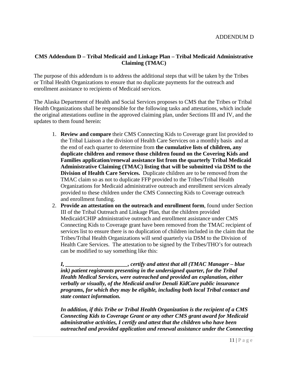## **CMS Addendum D – Tribal Medicaid and Linkage Plan – Tribal Medicaid Administrative Claiming (TMAC)**

The purpose of this addendum is to address the additional steps that will be taken by the Tribes or Tribal Health Organizations to ensure that no duplicate payments for the outreach and enrollment assistance to recipients of Medicaid services.

The Alaska Department of Health and Social Services proposes to CMS that the Tribes or Tribal Health Organizations shall be responsible for the following tasks and attestations, which include the original attestations outline in the approved claiming plan, under Sections III and IV, and the updates to them found herein:

- 1. **Review and compare** their CMS Connecting Kids to Coverage grant list provided to the Tribal Liaison a the division of Health Care Services on a monthly basis and at the end of each quarter to determine from **the cumulative lists of children, any duplicate children and remove those children found on the Covering Kids and Families application/renewal assistance list from the quarterly Tribal Medicaid Administrative Claiming (TMAC) listing that will be submitted via DSM to the Division of Health Care Services.** Duplicate children are to be removed from the TMAC claim so as not to duplicate FFP provided to the Tribes/Tribal Health Organizations for Medicaid administrative outreach and enrollment services already provided to these children under the CMS Connecting Kids to Coverage outreach and enrollment funding.
- 2. **Provide an attestation on the outreach and enrollment form**, found under Section III of the Tribal Outreach and Linkage Plan, that the children provided Medicaid/CHIP administrative outreach and enrollment assistance under CMS Connecting Kids to Coverage grant have been removed from the TMAC recipient of services list to ensure there is no duplication of children included in the claim that the Tribes/Tribal Health Organizations will send quarterly via DSM to the Division of Health Care Services. The attestation to be signed by the Tribes/THO's for outreach can be modified to say something like this:

*I, \_\_\_\_\_\_\_\_\_\_\_\_\_\_\_\_\_\_\_\_\_\_, certify and attest that all (TMAC Manager – blue ink) patient registrants presenting in the undersigned quarter, for the Tribal Health Medical Services, were outreached and provided an explanation, either verbally or visually, of the Medicaid and/or Denali KidCare public insurance programs, for which they may be eligible, including both local Tribal contact and state contact information.*

*In addition, if this Tribe or Tribal Health Organization is the recipient of a CMS Connecting Kids to Coverage Grant or any other CMS grant award for Medicaid administrative activities, I certify and attest that the children who have been outreached and provided application and renewal assistance under the Connecting*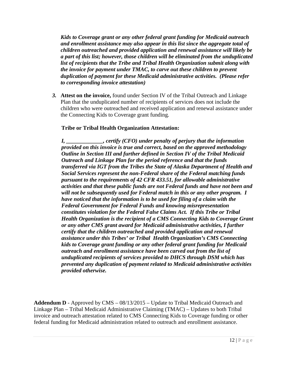*Kids to Coverage grant or any other federal grant funding for Medicaid outreach and enrollment assistance may also appear in this list since the aggregate total of children outreached and provided application and renewal assistance will likely be a part of this list; however, those children will be eliminated from the unduplicated list of recipients that the Tribe and Tribal Health Organization submit along with the invoice for payment under TMAC, to carve out these children to prevent duplication of payment for these Medicaid administrative activities. (Please refer to corresponding invoice attestation)* 

*3.* **Attest on the invoice,** found under Section IV of the Tribal Outreach and Linkage Plan that the unduplicated number of recipients of services does not include the children who were outreached and received application and renewal assistance under the Connecting Kids to Coverage grant funding.

## **Tribe or Tribal Health Organization Attestation:**

*I, \_\_\_\_\_\_\_\_\_\_\_\_\_, certify (CFO) under penalty of perjury that the information provided on this invoice is true and correct, based on the approved methodology Outline in Section III and further defined in Section IV of the Tribal Medicaid Outreach and Linkage Plan for the period reference and that the funds transferred via IGT from the Tribes the State of Alaska Department of Health and Social Services represent the non-Federal share of the Federal matching funds pursuant to the requirements of 42 CFR 433.51, for allowable administrative activities and that these public funds are not Federal funds and have not been and will not be subsequently used for Federal match in this or any other program. I have noticed that the information is to be used for filing of a claim with the Federal Government for Federal Funds and knowing misrepresentation constitutes violation for the Federal False Claims Act. If this Tribe or Tribal Health Organization is the recipient of a CMS Connecting Kids to Coverage Grant or any other CMS grant award for Medicaid administrative activities, I further certify that the children outreached and provided application and renewal assistance under this Tribes' or Tribal Health Organization's CMS Connecting kids to Coverage grant funding or any other federal grant funding for Medicaid outreach and enrollment assistance have been carved out from the list of unduplicated recipients of services provided to DHCS through DSM which has prevented any duplication of payment related to Medicaid administrative activities provided otherwise.*

**Addendum D** - Approved by CMS – 08/13/2015 – Update to Tribal Medicaid Outreach and Linkage Plan – Tribal Medicaid Administrative Claiming (TMAC) – Updates to both Tribal invoice and outreach attestation related to CMS Connecting Kids to Coverage funding or other federal funding for Medicaid administration related to outreach and enrollment assistance.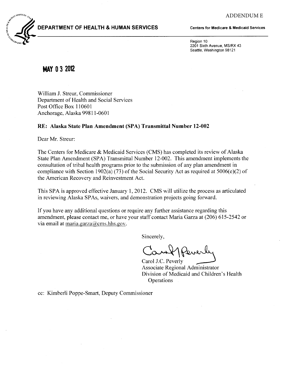

## DEPARTMENT OF HEALTH & HUMAN SERVICES

Centers for Medicare & Medicaid Services

Region 10 2201 Sixth Avenue, MS/RX 43 Seattle, Washington 98121

## **MAY 0 3 2012**

William J. Streur, Commissioner Department of Health and Social Services Post Office Box 110601 Anchorage, Alaska 99811-0601

#### RE: Alaska State Plan Amendment (SPA) Transmittal Number 12-002

Dear Mr. Streur:

The Centers for Medicare & Medicaid Services (CMS) has completed its review of Alaska State Plan Amendment (SPA) Transmittal Number 12-002. This amendment implements the consultation of tribal health programs prior to the submission of any plan amendment in compliance with Section 1902(a) (73) of the Social Security Act as required at  $5006(e)(2)$  of the American Recovery and Reinvestment Act.

This SPA is approved effective January 1, 2012. CMS will utilize the process as articulated in reviewing Alaska SPAs, waivers, and demonstration projects going forward.

If you have any additional questions or require any further assistance regarding this amendment, please contact me, or have your staff contact Maria Garza at (206) 615-2542 or via email at maria.garza $\omega$ cms.hhs.gov.

Sincerely,

Carol J.C. Peverly

Associate Regional Administrator Division of Medicaid and Children's Health **Operations** 

cc: Kimberli Poppe-Smart, Deputy Commissioner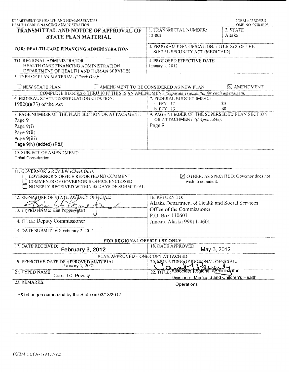| DEPARTMENT OF HEALTH AND HUMAN SERVICES<br>HEALTH CARE FINANCING ADMINISTRATION                                                                                                                                                                                  |                                                                               | <b>FORM APPROVED</b><br>OMB NO. 0938-0193          |  |
|------------------------------------------------------------------------------------------------------------------------------------------------------------------------------------------------------------------------------------------------------------------|-------------------------------------------------------------------------------|----------------------------------------------------|--|
| TRANSMITTAL AND NOTICE OF APPROVAL OF<br><b>STATE PLAN MATERIAL</b>                                                                                                                                                                                              | 1. TRANSMITTAL NUMBER:<br>12-002                                              | 2. STATE<br>Alaska                                 |  |
| FOR: HEALTH CARE FINANCING ADMINISTRATION                                                                                                                                                                                                                        | 3. PROGRAM IDENTIFICATION: TITLE XIX OF THE<br>SOCIAL SECURITY ACT (MEDICAID) |                                                    |  |
| TO: REGIONAL ADMINISTRATOR<br>HEALTH CARE FINANCING ADMINISTRATION<br>DEPARTMENT OF HEALTH AND HUMAN SERVICES                                                                                                                                                    | 4. PROPOSED EFFECTIVE DATE<br>January 1, 2012                                 |                                                    |  |
| 5. TYPE OF PLAN MATERIAL (Check One):                                                                                                                                                                                                                            |                                                                               |                                                    |  |
| $\Box$ NEW STATE PLAN                                                                                                                                                                                                                                            | AMENDMENT TO BE CONSIDERED AS NEW PLAN                                        | $\boxtimes$ AMENDMENT                              |  |
| COMPLETE BLOCKS 6 THRU 10 IF THIS IS AN AMENDMENT (Separate Transmittal for each amendment)                                                                                                                                                                      |                                                                               |                                                    |  |
| 6. FEDERAL STATUTE/REGULATION CITATION:                                                                                                                                                                                                                          | 7. FEDERAL BUDGET IMPACT:                                                     |                                                    |  |
| $1902(a)(73)$ of the Act                                                                                                                                                                                                                                         | a. FFY 12                                                                     | \$0                                                |  |
|                                                                                                                                                                                                                                                                  | b. FFY 13                                                                     | \$0                                                |  |
| 8. PAGE NUMBER OF THE PLAN SECTION OR ATTACHMENT:                                                                                                                                                                                                                | 9. PAGE NUMBER OF THE SUPERSEDED PLAN SECTION                                 |                                                    |  |
| Page 9                                                                                                                                                                                                                                                           | OR ATTACHMENT (If Applicable):                                                |                                                    |  |
| Page $9(i)$                                                                                                                                                                                                                                                      | Page 9                                                                        |                                                    |  |
| Page $9(ii)$                                                                                                                                                                                                                                                     |                                                                               |                                                    |  |
| Page 9(iii)                                                                                                                                                                                                                                                      |                                                                               |                                                    |  |
| Page 9(iv) (added) (P&I)                                                                                                                                                                                                                                         |                                                                               |                                                    |  |
|                                                                                                                                                                                                                                                                  |                                                                               |                                                    |  |
| 10. SUBJECT OF AMENDMENT:                                                                                                                                                                                                                                        |                                                                               |                                                    |  |
|                                                                                                                                                                                                                                                                  |                                                                               |                                                    |  |
| <b>Tribal Consultation</b>                                                                                                                                                                                                                                       |                                                                               |                                                    |  |
| 11. GOVERNOR'S REVIEW (Check One):<br>GOVERNOR'S OFFICE REPORTED NO COMMENT<br>COMMENTS OF GOVERNOR'S OFFICE ENCLOSED<br>NO REPLY RECEIVED WITHIN 45 DAYS OF SUBMITTAL                                                                                           | wish to comment.                                                              | $\boxtimes$ OTHER, AS SPECIFIED: Governor does not |  |
|                                                                                                                                                                                                                                                                  | 16. RETURN TO:                                                                |                                                    |  |
|                                                                                                                                                                                                                                                                  |                                                                               |                                                    |  |
|                                                                                                                                                                                                                                                                  | Alaska Department of Health and Social Services                               |                                                    |  |
|                                                                                                                                                                                                                                                                  | Office of the Commissioner                                                    |                                                    |  |
|                                                                                                                                                                                                                                                                  | P.O. Box 110601                                                               |                                                    |  |
|                                                                                                                                                                                                                                                                  | Juneau, Alaska 99811-0601                                                     |                                                    |  |
|                                                                                                                                                                                                                                                                  |                                                                               |                                                    |  |
| FOR REGIONAL OFFICE USE ONLY                                                                                                                                                                                                                                     |                                                                               |                                                    |  |
| February 3, 2012                                                                                                                                                                                                                                                 | 18. DATE APPROVED:<br>May 3, 2012                                             |                                                    |  |
| PLAN APPROVED - ONE COPY ATTACHED                                                                                                                                                                                                                                |                                                                               |                                                    |  |
| January 1, 2012                                                                                                                                                                                                                                                  | 20, SIGNATURE OF REGIONAL OFFICIAL:                                           |                                                    |  |
| 12. SIGNATURE OF STATE AGENCY OFFICIAL:<br>13. TYPLD NAME: Kim Poppe Sylart<br>14. TITLE: Deputy Commissioner<br>15. DATE SUBMITTED: Feburary 2, 2012<br>17. DATE RECEIVED:<br>19. EFFECTIVE DATE OF APPROVED MATERIAL:<br>21. TYPED NAME:<br>Carol J.C. Peverly | 22. TITLE: Associate Regional Administrator                                   |                                                    |  |
| 23. REMARKS:                                                                                                                                                                                                                                                     | Division of Medicaid and Children's Health<br>Operations                      |                                                    |  |

**P&l changes authorized by the State on 03/13/2012.**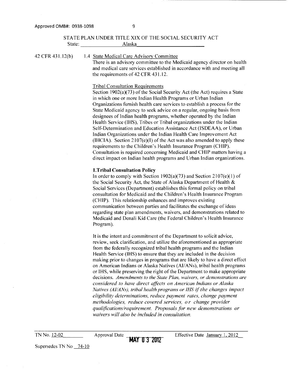#### STATE PLAN UNDER TITLE XIX OF THE SOCIAL SECURITY ACT State: Alaska

42 CFR 431.12(b) 1.4 State Medical Care Advisory Committee There is an advisory committee to the Medicaid agency director on health and medical care services established in accordance with and meeting all the requirements of 42 CFR 431.12.

#### Tribal Consultation Requirements

Section  $1902(a)(73)$  of the Social Security Act (the Act) requires a State in which one or more Indian Health Programs or Urban Indian Organizations furnish health care services to establish a process for the State Medicaid agency to seek advice on a regular, ongoing basis from designees of Indian health programs, whether operated by the Indian Health Service (IHS), Tribes or Tribal organizations under the Indian Self-Determination and Education Assistance Act (ISDEAA), or Urban Indian Organizations under the Indian Health Care Improvement Act (IHCIA). Section  $2107(e)(I)$  of the Act was also amended to apply these requirements to the Children's Health Insurance Program (CHIP). Consultation is required concerning Medicaid and CHIP matters having a direct impact on Indian health programs and Urban Indian organizations.

-------------------------

#### **l.Tribal Consultation Policy**

In order to comply with Section 1902(a)(73) and Section 2107(e)(1) of the Social Security Act, the State of Alaska Department of Health & Social Services (Department) establishes this formal policy on tribal consultation for Medicaid and the Children's Health Insurance Program (CHIP). This relationship enhances and improves existing communication between parties and facilitates the exchange of ideas regarding state plan amendments, waivers, and demonstrations related to Medicaid and Denali Kid Care (the Federal Children's Health Insurance Program).

It is the intent and commitment of the Department to solicit advice, review, seek clarification, and utilize the aforementioned as appropriate from the federally recognized tribal health programs and the Indian Health Service (IHS) to ensure that they are included in the decision making prior to changes in programs that are likely to have a direct effect on American Indians or Alaska Natives (AI/ANs), tribal health programs or IHS, while preserving the right of the Department to make appropriate decisions. *Amendments to the State Plan, waivers, or demonstrations are considered to have direct affects on American Indians or Alaska Natives (AIIANs), tribal health programs or IHS* if *the changes impact eligibility determinations, reduce payment rates, change payment methodologies, reduce covered services, or change provider qualifications/requirement. Proposals for new demonstrations or waivers will also be included in consultation.*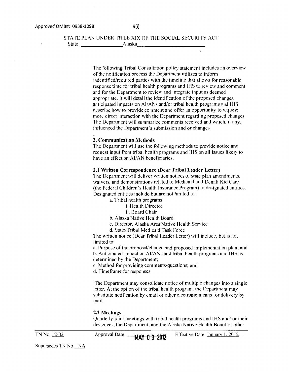#### STATE PLAN UNDER TITLE XIX OF THE SOCIAL SECURITY ACT State: Alaska

The following Tribal Consultation policy statement includes an overview of the notification process the Department utilizes to inform indentified/required parties with the timeline that allows for reasonable response time for tribal health programs and IHS to review and comment and for the Department to review and integrate input as deemed appropriate. It will detail the identification of the proposed changes, anticipated impacts on AI/ANs and/or tribal health programs and IHS describe how to provide comment and offer an opportunity to request more direct interaction with the Department regarding proposed changes. The Department will summarize comments received and which, if any, influenced the Department's submission and or changes

#### **2. Communication Methods**

The Department will use the following methods to provide notice and request input from tribal health programs and IHS on all issues likely to have an effect on AI/AN beneficiaries.

#### **2.1 Written Correspondence (Dear Tribal Leader Letter)**

The Department will deliver written notices of state plan amendments, waivers, and demonstrations related to Medicaid and Denali Kid Care (the Federal Children's Health Insurance Program) to designated entities. Designated entities include but are not limited to:

a. Tribal health programs

- i. Health Director
- ii. Board Chair
- b. Alaska Native Health Board
- c. Director, Alaska Area Native Health Service
- d. State/Tribal Medicaid Task Force

The written notice (Dear Tribal Leader Letter) will include, but is not limited to:

a. Purpose of the proposal/change and proposed implementation plan; and b. Anticipated impact on AI/ANs and tribal health programs and IHS as determined by the Department;

- c. Method for providing comments/questions; and
- d. Timeframe for responses

The Department may consolidate notice of multiple changes into a single letter. At the option of the tribal health program, the Department may substitute notification by email or other electronic means for delivery by mail.

#### **2.2 Meetings**

Quarterly joint meetings with tribal health programs and IHS and/ or their designees, the Department, and the Alaska Native Health Board or other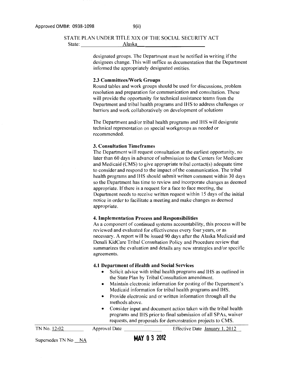# STATE PLAN UNDER TITLE XIX OF THE SOCIAL SECURITY ACT State: \_\_\_\_\_\_\_ .;....A=I=as=k=a,\_ \_\_\_\_\_\_\_\_\_\_ \_

designated groups. The Department must be notified in writing if the designees change. This will suffice as documentation that the Department informed the appropriately designated entities.

#### 2.3 Committees/Work Groups

Round tables and work groups should be used for discussions, problem resolution and preparation for communication and consultation. These will provide the opportunity for technical assistance teams from the Department and tribal health programs and IHS to address challenges or barriers and work collaboratively on development of solutions

The Department and/or tribal health programs and IHS will designate technical representation on special workgroups as needed or recommended.

#### 3. Consultation Timeframes

The Department will request consultation at the earliest opportunity, no later than 60 days in advance of submission to the Centers for Medicare and Medicaid (CMS) to give appropriate tribal contact(s) adequate time to consider and respond to the impact of the communication. The tribal health programs and IHS should submit written comment within 30 days so the Department has time to review and incorporate changes as deemed appropriate. If there is a request for a face to face meeting, the Department needs to receive written request within 15 days of the initial notice in order to facilitate a meeting and make changes as deemed appropriate.

#### 4. Implementation Process and Responsibilities

As a component of continued systems accountability, this process will be reviewed and evaluated for effectiveness every four years, or as necessary. A report will be issued 90 days after the Alaska Medicaid and Denali KidCare Tribal Consultation Policy and Procedure review that summarizes the evaluation and details any new strategies and/or specific agreements.

#### 4.1 Department of Health and Social Services

- Solicit advice with tribal health programs and IHS as outlined in the State Plan by Tribal Consultation amendment.
- Maintain electronic information for posting of the Department's Medicaid information for tribal health programs and IHS.
- Provide electronic and or written information through all the methods above.
- Consider input and document action taken with the tribal health programs and IHS prior to final submission of all SPAs, waiver requests, and proposals for demonstration projects to CMS.

|              | requests, and proposars for demonstration projects to CMO. |  |                                |
|--------------|------------------------------------------------------------|--|--------------------------------|
| TN No. 12-02 | Approval Date                                              |  | Effective Date January 1, 2012 |
|              | $\cdots$ $\cdots$                                          |  |                                |

Supersedes TN No  $NA$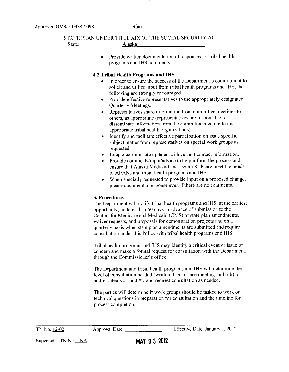#### STATE PLAN UNDER TITLE XIX OF THE SOCIAL SECURITY ACT State: Alaska

• Provide written documentation of responses to Tribal health programs and IHS comments.

#### **4.2 Tribal Health Programs and IHS**

- In order to ensure the success of the Department's commitment to solicit and utilize input from tribal health programs and IHS, the following are strongly encouraged.
- Provide effective representatives to the appropriately designated  $\cdot$ Quarterly Meetings.
- Representatives share information from committee meetings to others, as appropriate (representatives are responsible to disseminate information from the committee meeting to the appropriate tribal health organizations).
- Identify and facilitate effective participation on issue specific subject matter from representatives on special work groups as requested.
- Keep electronic site updated with current contact information.
- Provide comments/input/advice to help inform the process and ensure that Alaska Medicaid and Denali KidCare meet the needs of AI/ANs and tribal health programs and IHS.
- When specially requested to provide input on a proposed change, please document a response even if there are no comments.

#### **5. Procedures**

The Department will notify tribal health programs and IHS, at the earliest opportunity, no later than 60 days in advance of submission to the Centers for Medicare and Medicaid (CMS) of state plan amendments, waiver requests, and proposals for demonstration projects and on a quarterly basis when state plan amendments are submitted and require consultation under this Policy with tribal health programs and lHS.

Tribal health programs and IHS may identify a critical event or issue of concern and make a formal request for consultation with the Department, through the Commissioner's office.

The Department and tribal health programs and IHS will determine the level of consultation needed (written, face to face meeting, or both) to address items #1 and #2, and request consultation as needed.

The parties will determine if work groups should be tasked to work on technical questions in preparation for consultation and the timeline for process completion.

| TN No. 12-02 |  |
|--------------|--|
|              |  |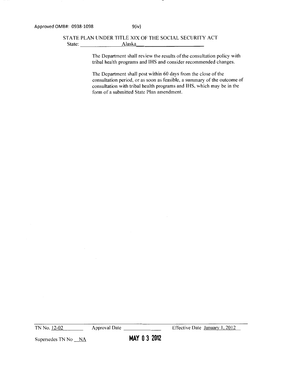### STATE PLAN UNDER TITLE XIX OF THE SOCIAL SECURITY ACT State:  $Alaska$

The Department shall review the results of the consultation policy with tribal health programs and IHS and consider recommended changes.

The Department shall post within 60 days from the close of the consultation period, or as soon as feasible, a summary of the outcome of consultation with tribal health programs and IHS, which may be in the form of a submitted State Plan amendment.

TN No. 12-02

Approval Date \_\_\_\_\_ \_ Effective Date January 1, 2012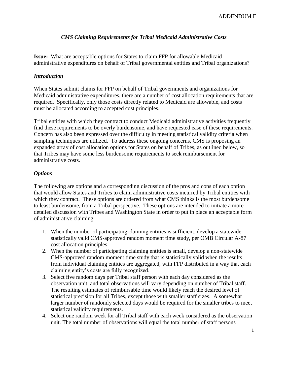## *CMS Claiming Requirements for Tribal Medicaid Administrative Costs*

**Issue:** What are acceptable options for States to claim FFP for allowable Medicaid administrative expenditures on behalf of Tribal governmental entities and Tribal organizations?

## *Introduction*

When States submit claims for FFP on behalf of Tribal governments and organizations for Medicaid administrative expenditures, there are a number of cost allocation requirements that are required. Specifically, only those costs directly related to Medicaid are allowable, and costs must be allocated according to accepted cost principles.

Tribal entities with which they contract to conduct Medicaid administrative activities frequently find these requirements to be overly burdensome, and have requested ease of these requirements. Concern has also been expressed over the difficulty in meeting statistical validity criteria when sampling techniques are utilized. To address these ongoing concerns, CMS is proposing an expanded array of cost allocation options for States on behalf of Tribes, as outlined below, so that Tribes may have some less burdensome requirements to seek reimbursement for administrative costs.

## *Options*

The following are options and a corresponding discussion of the pros and cons of each option that would allow States and Tribes to claim administrative costs incurred by Tribal entities with which they contract. These options are ordered from what CMS thinks is the most burdensome to least burdensome, from a Tribal perspective. These options are intended to initiate a more detailed discussion with Tribes and Washington State in order to put in place an acceptable form of administrative claiming.

- 1. When the number of participating claiming entities is sufficient, develop a statewide, statistically valid CMS-approved random moment time study, per OMB Circular A-87 cost allocation principles.
- 2. When the number of participating claiming entities is small, develop a non-statewide CMS-approved random moment time study that is statistically valid when the results from individual claiming entities are aggregated, with FFP distributed in a way that each claiming entity's costs are fully recognized.
- 3. Select five random days per Tribal staff person with each day considered as the observation unit, and total observations will vary depending on number of Tribal staff. The resulting estimates of reimbursable time would likely reach the desired level of statistical precision for all Tribes, except those with smaller staff sizes. A somewhat larger number of randomly selected days would be required for the smaller tribes to meet statistical validity requirements.
- 4. Select one random week for all Tribal staff with each week considered as the observation unit. The total number of observations will equal the total number of staff persons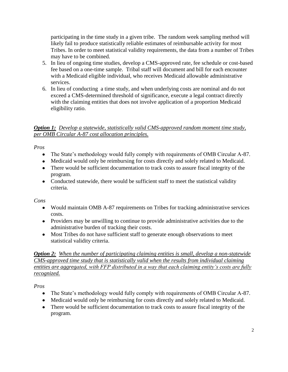participating in the time study in a given tribe. The random week sampling method will likely fail to produce statistically reliable estimates of reimbursable activity for most Tribes. In order to meet statistical validity requirements, the data from a number of Tribes may have to be combined.

- 5. In lieu of ongoing time studies, develop a CMS-approved rate, fee schedule or cost-based fee based on a one-time sample. Tribal staff will document and bill for each encounter with a Medicaid eligible individual, who receives Medicaid allowable administrative services.
- 6. In lieu of conducting a time study, and when underlying costs are nominal and do not exceed a CMS-determined threshold of significance, execute a legal contract directly with the claiming entities that does not involve application of a proportion Medicaid eligibility ratio.

## *Option 1: Develop a statewide, statistically valid CMS-approved random moment time study, per OMB Circular A-87 cost allocation principles.*

*Pros* 

- The State's methodology would fully comply with requirements of OMB Circular A-87.
- Medicaid would only be reimbursing for costs directly and solely related to Medicaid.
- There would be sufficient documentation to track costs to assure fiscal integrity of the program.
- Conducted statewide, there would be sufficient staff to meet the statistical validity criteria.

*Cons* 

- Would maintain OMB A-87 requirements on Tribes for tracking administrative services costs.
- Providers may be unwilling to continue to provide administrative activities due to the administrative burden of tracking their costs.
- Most Tribes do not have sufficient staff to generate enough observations to meet statistical validity criteria.

*Option 2: When the number of participating claiming entities is small, develop a non-statewide CMS-approved time study that is statistically valid when the results from individual claiming entities are aggregated, with FFP distributed in a way that each claiming entity's costs are fully recognized.*

*Pros* 

- The State's methodology would fully comply with requirements of OMB Circular A-87.
- Medicaid would only be reimbursing for costs directly and solely related to Medicaid.
- There would be sufficient documentation to track costs to assure fiscal integrity of the program.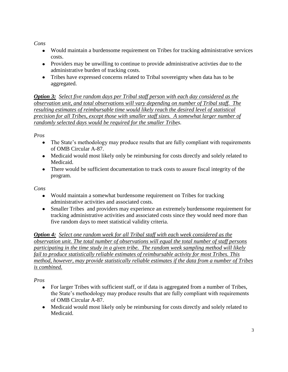*Cons* 

- Would maintain a burdensome requirement on Tribes for tracking administrative services costs.
- Providers may be unwilling to continue to provide administrative activities due to the administrative burden of tracking costs.
- Tribes have expressed concerns related to Tribal sovereignty when data has to be aggregated.

*Option 3: Select five random days per Tribal staff person with each day considered as the observation unit, and total observations will vary depending on number of Tribal staff. The resulting estimates of reimbursable time would likely reach the desired level of statistical precision for all Tribes, except those with smaller staff sizes. A somewhat larger number of randomly selected days would be required for the smaller Tribes.* 

*Pros* 

- The State's methodology may produce results that are fully compliant with requirements of OMB Circular A-87.
- Medicaid would most likely only be reimbursing for costs directly and solely related to Medicaid.
- There would be sufficient documentation to track costs to assure fiscal integrity of the program.

*Cons* 

- Would maintain a somewhat burdensome requirement on Tribes for tracking administrative activities and associated costs.
- Smaller Tribes and providers may experience an extremely burdensome requirement for tracking administrative activities and associated costs since they would need more than five random days to meet statistical validity criteria.

*Option 4: Select one random week for all Tribal staff with each week considered as the observation unit. The total number of observations will equal the total number of staff persons participating in the time study in a given tribe. The random week sampling method will likely fail to produce statistically reliable estimates of reimbursable activity for most Tribes. This method, however, may provide statistically reliable estimates if the data from a number of Tribes is combined.*

*Pros* 

- For larger Tribes with sufficient staff, or if data is aggregated from a number of Tribes, the State's methodology may produce results that are fully compliant with requirements of OMB Circular A-87.
- Medicaid would most likely only be reimbursing for costs directly and solely related to Medicaid.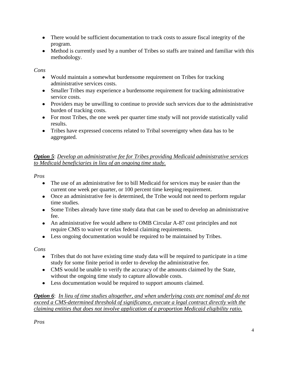- There would be sufficient documentation to track costs to assure fiscal integrity of the program.
- Method is currently used by a number of Tribes so staffs are trained and familiar with this methodology.

## *Cons*

- Would maintain a somewhat burdensome requirement on Tribes for tracking administrative services costs.
- Smaller Tribes may experience a burdensome requirement for tracking administrative service costs.
- Providers may be unwilling to continue to provide such services due to the administrative burden of tracking costs.
- For most Tribes, the one week per quarter time study will not provide statistically valid results.
- Tribes have expressed concerns related to Tribal sovereignty when data has to be aggregated.

## *Option 5*: *Develop an administrative fee for Tribes providing Medicaid administrative services to Medicaid beneficiaries in lieu of an ongoing time study.*

*Pros* 

- The use of an administrative fee to bill Medicaid for services may be easier than the current one week per quarter, or 100 percent time keeping requirement.
- Once an administrative fee is determined, the Tribe would not need to perform regular time studies.
- Some Tribes already have time study data that can be used to develop an administrative fee.
- An administrative fee would adhere to OMB Circular A-87 cost principles and not require CMS to waiver or relax federal claiming requirements.
- Less ongoing documentation would be required to be maintained by Tribes.

*Cons* 

- Tribes that do not have existing time study data will be required to participate in a time study for some finite period in order to develop the administrative fee.
- CMS would be unable to verify the accuracy of the amounts claimed by the State, without the ongoing time study to capture allowable costs.
- Less documentation would be required to support amounts claimed.

*Option 6*: *In lieu of time studies altogether, and when underlying costs are nominal and do not exceed a CMS-determined threshold of significance, execute a legal contract directly with the claiming entities that does not involve application of a proportion Medicaid eligibility ratio.* 

*Pros*